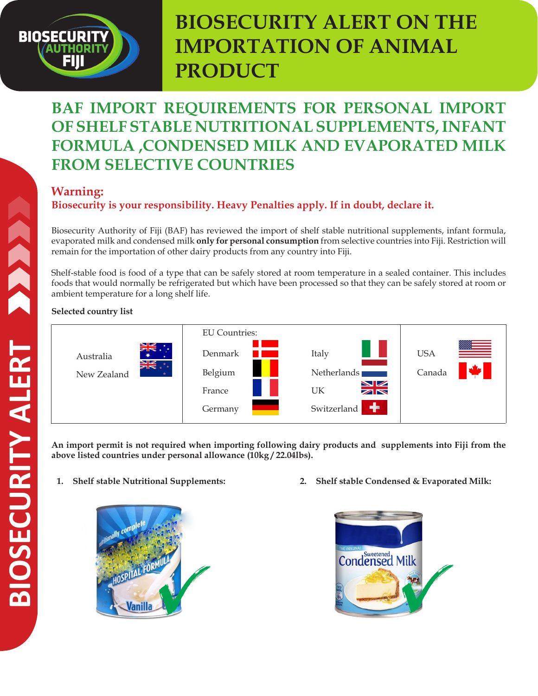# **BIOSECURIT**

## **BIOSECURITY ALERT ON THE IMPORTATION OF ANIMAL PRODUCT**

## **BAF IMPORT REQUIREMENTS FOR PERSONAL IMPORT OF SHELF STABLE NUTRITIONAL SUPPLEMENTS, INFANT FORMULA ,CONDENSED MILK AND EVAPORATED MILK FROM SELECTIVE COUNTRIES**

### **Warning:**

**Biosecurity is your responsibility. Heavy Penalties apply. If in doubt, declare it.**

Biosecurity Authority of Fiji (BAF) has reviewed the import of shelf stable nutritional supplements, infant formula, evaporated milk and condensed milk **only for personal consumption** from selective countries into Fiji. Restriction will remain for the importation of other dairy products from any country into Fiji.

Shelf-stable food is food of a type that can be safely stored at room temperature in a sealed container. This includes foods that would normally be refrigerated but which have been processed so that they can be safely stored at room or ambient temperature for a long shelf life.

#### **Selected country list**



**An import permit is not required when importing following dairy products and supplements into Fiji from the above listed countries under personal allowance (10kg / 22.04lbs).**

**1. Shelf stable Nutritional Supplements:** 



**2. Shelf stable Condensed & Evaporated Milk:**